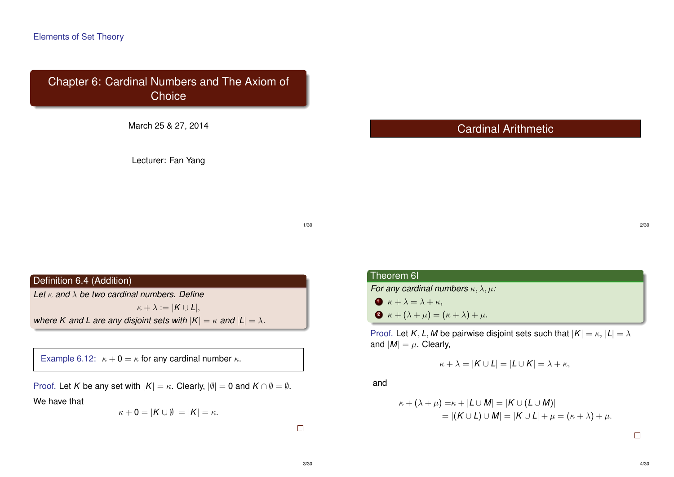Chapter 6: Cardinal Numbers and The Axiom of **Choice** 

March 25 & 27, 2014

Lecturer: Fan Yang

Cardinal Arithmetic

1/30

### Definition 6.4 (Addition)

*Let* κ *and* λ *be two cardinal numbers. Define*

 $\kappa + \lambda := |K \cup L|,$ *where K and L are any disjoint sets with*  $|K| = \kappa$  *and*  $|L| = \lambda$ *.* 

Example 6.12:  $\kappa + 0 = \kappa$  for any cardinal number  $\kappa$ .

Proof. Let *K* be any set with  $|K| = \kappa$ . Clearly,  $|\emptyset| = 0$  and  $K \cap \emptyset = \emptyset$ .

We have that

$$
\kappa + 0 = |K \cup \emptyset| = |K| = \kappa.
$$

 $\Box$ 

# Theorem 6I

*For any cardinal numbers* κ, λ, µ*:*

- $\bullet$   $\kappa + \lambda = \lambda + \kappa$ ,
- $\bullet$   $\kappa + (\lambda + \mu) = (\kappa + \lambda) + \mu$ .

Proof. Let *K*, *L*, *M* be pairwise disjoint sets such that  $|K| = \kappa$ ,  $|L| = \lambda$ and  $|M| = \mu$ . Clearly,

$$
\kappa + \lambda = |K \cup L| = |L \cup K| = \lambda + \kappa,
$$

and

$$
\kappa + (\lambda + \mu) = \kappa + |L \cup M| = |K \cup (L \cup M)|
$$
  
= |(K \cup L) \cup M| = |K \cup L| + \mu = (\kappa + \lambda) + \mu.

 $\Box$ 

2/30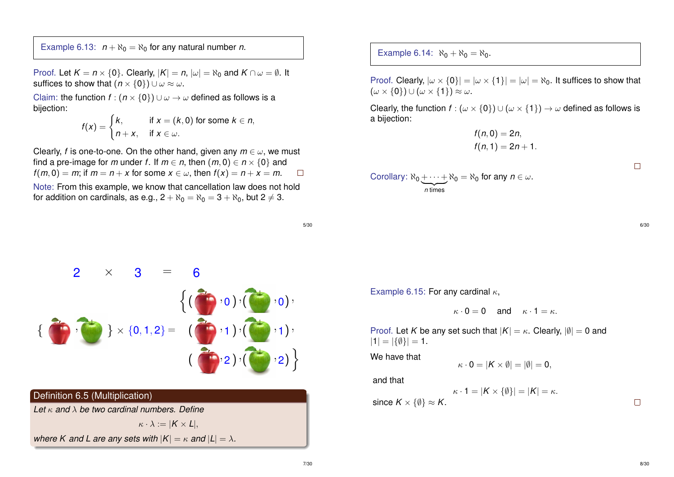Example 6.13:  $n + \aleph_0 = \aleph_0$  for any natural number *n*.

Proof. Let  $K = n \times \{0\}$ . Clearly,  $|K| = n$ ,  $|\omega| = \aleph_0$  and  $K \cap \omega = \emptyset$ . It suffices to show that  $(n \times \{0\}) \cup \omega \approx \omega$ .

Claim: the function  $f : (n \times \{0\}) \cup \omega \rightarrow \omega$  defined as follows is a bijection:

$$
f(x) = \begin{cases} k, & \text{if } x = (k, 0) \text{ for some } k \in n, \\ n + x, & \text{if } x \in \omega. \end{cases}
$$

Clearly, *f* is one-to-one. On the other hand, given any  $m \in \omega$ , we must find a pre-image for *m* under *f*. If  $m \in n$ , then  $(m, 0) \in n \times \{0\}$  and  $f(m, 0) = m$ ; if  $m = n + x$  for some  $x \in \omega$ , then  $f(x) = n + x = m$ .  $\Box$ 

Note: From this example, we know that cancellation law does not hold for addition on cardinals, as e.g.,  $2 + \aleph_0 = \aleph_0 = 3 + \aleph_0$ , but  $2 \neq 3$ .

Example 6.14:  $\aleph_0 + \aleph_0 = \aleph_0$ .

Proof. Clearly,  $|\omega \times \{0\}| = |\omega \times \{1\}| = |\omega| = \aleph_0$ . It suffices to show that  $(\omega \times \{0\}) \cup (\omega \times \{1\}) \approx \omega$ .

Clearly, the function  $f : (\omega \times \{0\}) \cup (\omega \times \{1\}) \rightarrow \omega$  defined as follows is a bijection:

$$
f(n,0) = 2n,f(n,1) = 2n + 1.
$$

Corollary:  $\aleph_0 + \cdots + \aleph_0 = \aleph_0$  for any  $n \in \omega$ .  $n$  times

5/30



### Definition 6.5 (Multiplication)

*Let* κ *and* λ *be two cardinal numbers. Define*

 $\kappa \cdot \lambda := |K \times L|,$ *where K and L are any sets with*  $|K| = \kappa$  *and*  $|L| = \lambda$ . Example 6.15: For any cardinal  $\kappa$ ,

$$
\kappa\cdot 0=0\quad\text{ and }\quad \kappa\cdot 1=\kappa.
$$

Proof. Let *K* be any set such that  $|K| = \kappa$ . Clearly,  $|\emptyset| = 0$  and  $|1| = |\{\emptyset\}| = 1.$ 

We have that

$$
\kappa \cdot 0 = |\mathcal{K} \times \emptyset| = |\emptyset| = 0,
$$

and that

 $\kappa \cdot 1 = |K \times \{\emptyset\}| = |K| = \kappa.$ since  $K \times \{\emptyset\} \approx K$ .

 $\Box$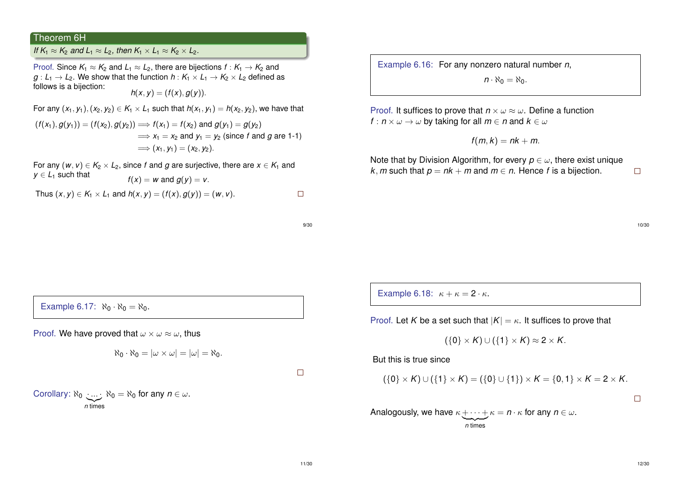#### Theorem 6H

*If*  $K_1 \approx K_2$  and  $L_1 \approx L_2$ , then  $K_1 \times L_1 \approx K_2 \times L_2$ .

Proof. Since  $K_1 \approx K_2$  and  $L_1 \approx L_2$ , there are bijections  $f: K_1 \to K_2$  and  $g: L_1 \rightarrow L_2$ . We show that the function  $h: K_1 \times L_1 \rightarrow K_2 \times L_2$  defined as follows is a bijection:

$$
h(x,y)=(f(x),g(y)).
$$

For any  $(x_1, y_1), (x_2, y_2) \in K_1 \times L_1$  such that  $h(x_1, y_1) = h(x_2, y_2)$ , we have that  $(f(x_1), g(y_1)) = (f(x_2), g(y_2)) \Longrightarrow f(x_1) = f(x_2)$  and  $g(y_1) = g(y_2)$ 

$$
\implies x_1 = x_2 \text{ and } y_1 = y_2 \text{ (since } f \text{ and } g \text{ are 1-1)}
$$

$$
\implies (x_1, y_1) = (x_2, y_2).
$$

For any  $(w, v) \in K_2 \times L_2$ , since *f* and *g* are surjective, there are  $x \in K_1$  and  $y \in L_1$  such that  $f(x) = w$  and  $g(y) = v$ .

Thus  $(x, y) \in K_1 \times L_1$  and  $h(x, y) = (f(x), g(y)) = (w, v)$ .  $\Box$ 

9/30

Example 6.16: For any nonzero natural number *n*,

 $n \cdot \aleph_0 = \aleph_0$ .

Proof. It suffices to prove that  $n \times \omega \approx \omega$ . Define a function *f* :  $n \times \omega \rightarrow \omega$  by taking for all  $m \in n$  and  $k \in \omega$ 

$$
f(m,k)=nk+m.
$$

Note that by Division Algorithm, for every  $p \in \omega$ , there exist unique *k*, *m* such that  $p = nk + m$  and  $m \in n$ . Hence *f* is a bijection.



 $\Box$ 

Example 6.18:  $\kappa + \kappa = 2 \cdot \kappa$ .

Proof. Let *K* be a set such that  $|K| = \kappa$ . It suffices to prove that

$$
(\{0\} \times K) \cup (\{1\} \times K) \approx 2 \times K.
$$

But this is true since

$$
(\{0\} \times K) \cup (\{1\} \times K) = (\{0\} \cup \{1\}) \times K = \{0,1\} \times K = 2 \times K.
$$

 $\Box$ 

Analogously, we have  $\kappa + \cdots + \kappa = n \cdot \kappa$  for any  $n \in \omega$ .  $\overline{n}$  times

Example 6.17:  $\aleph_0 \cdot \aleph_0 = \aleph_0$ .

Proof. We have proved that  $\omega \times \omega \approx \omega$ , thus

$$
\aleph_0 \cdot \aleph_0 = |\omega \times \omega| = |\omega| = \aleph_0.
$$

 $\Box$ 

Corollary:  $\aleph_0$  :...  $\aleph_0 = \aleph_0$  for any  $n \in \omega$ . |{z} *n* times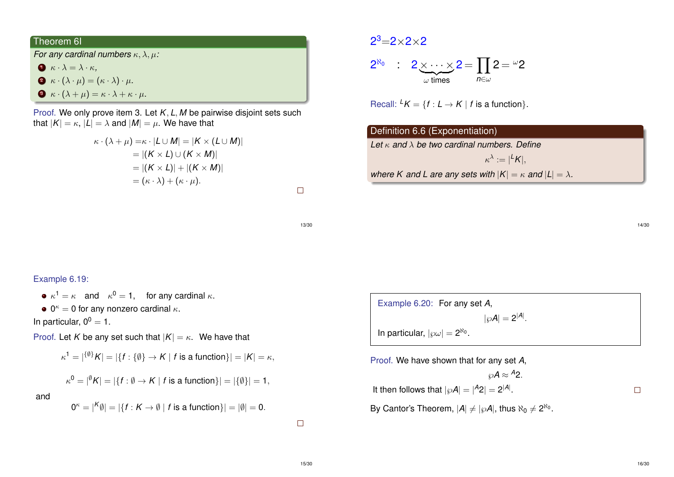### Theorem 6I

*For any cardinal numbers* κ, λ, µ*:*

- $\bullet$   $\kappa \cdot \lambda = \lambda \cdot \kappa$ ,
- $\bullet$   $\kappa \cdot (\lambda \cdot \mu) = (\kappa \cdot \lambda) \cdot \mu$ .
- $\bullet \ \kappa \cdot (\lambda + \mu) = \kappa \cdot \lambda + \kappa \cdot \mu.$

Proof. We only prove item 3. Let *K*, *L*, *M* be pairwise disjoint sets such that  $|K| = \kappa$ ,  $|L| = \lambda$  and  $|M| = \mu$ . We have that

$$
\kappa \cdot (\lambda + \mu) = \kappa \cdot |L \cup M| = |K \times (L \cup M)|
$$
  
= |(K \times L) \cup (K \times M)|  
= |(K \times L)| + |(K \times M)|  
= (\kappa \cdot \lambda) + (\kappa \cdot \mu).

 $\Box$ 

13/30

# $2^3 = 2 \times 2 \times 2$  $2^{\aleph_0}$  :  $2 \times \cdots \times 2 = \prod 2 = \omega_2$  $\omega$  times

Recall:  ${}^L K = \{f : L \to K \mid f \text{ is a function}\}.$ 

## Definition 6.6 (Exponentiation) *Let* κ *and* λ *be two cardinal numbers. Define*  $\kappa^{\lambda} := |^L K|,$ *where K and L are any sets with*  $|K| = \kappa$  *and*  $|L| = \lambda$ *.*

*n*∈ω

### Example 6.19:

 $\kappa^1 = \kappa$  and  $\kappa^0 = 1$ , for any cardinal  $\kappa$ .

 $0^{\kappa} = 0$  for any nonzero cardinal  $\kappa$ .

In particular,  $0^0 = 1$ .

Proof. Let *K* be any set such that  $|K| = \kappa$ . We have that

$$
\kappa^1=|\{^{\emptyset\}}K|=|\{f:\{\emptyset\}\to K\mid f\text{ is a function}\}|=|K|=\kappa,
$$

$$
\kappa^0 = |\theta K| = |\{f : \emptyset \to K \mid f \text{ is a function}\}| = |\{\emptyset\}| = 1,
$$

and

$$
0^{\kappa} = |K \emptyset| = |\{f: K \to \emptyset \mid f \text{ is a function}\}| = |\emptyset| = 0.
$$

 $\Box$ 

Example 6.20: For any set *A*,  $|\wp A| = 2^{|A|}$ . In particular,  $|\wp \omega| = 2^{\aleph_0}$ .

Proof. We have shown that for any set *A*,  $\wp A \approx {}^A 2$ . It then follows that  $|\wp A| = |A_2| = 2^{|A|}$ . By Cantor's Theorem,  $|A| \neq |\wp A|$ , thus  $\aleph_0 \neq 2^{\aleph_0}$ .

 $\Box$ 

14/30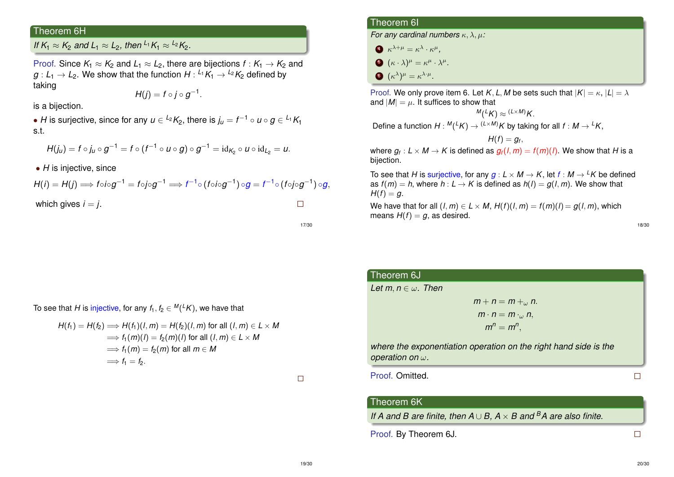### Theorem 6H

*If*  $K_1 \approx K_2$  *and*  $L_1 \approx L_2$ , *then*  $L_1K_1 \approx L_2K_2$ .

Proof. Since  $K_1 \approx K_2$  and  $L_1 \approx L_2$ , there are bijections  $f: K_1 \to K_2$  and  $g: L_1 \rightarrow L_2.$  We show that the function  $H: {}^{L_1}K_1 \rightarrow {}^{L_2}K_2$  defined by taking

$$
H(j) = f \circ j \circ g^{-1}.
$$

is a bijection.

• *H* is surjective, since for any  $u \in {}^{L_2}K_2$ , there is  $j_u = f^{-1} \circ u \circ g \in {}^{L_1}K_1$ s.t.

$$
H(j_u) = f \circ j_u \circ g^{-1} = f \circ (f^{-1} \circ u \circ g) \circ g^{-1} = id_{K_2} \circ u \circ id_{L_2} = u.
$$

• *H* is injective, since

 $\textit{H}(i) = \textit{H}(j) \Longrightarrow \textit{fo}i \circ g^{-1} = \textit{fo}j \circ g^{-1} \Longrightarrow \textit{f}^{-1} \circ (\textit{fo}i \circ g^{-1}) \circ g = \textit{f}^{-1} \circ (\textit{fo}j \circ g^{-1}) \circ g,$ 

which gives  $i = j$ .

 $\Box$ 

17/30

### To see that  $H$  is injective, for any  $f_1, f_2 \in {}^{\textit{M}}({}^{\textit{L}}K),$  we have that

$$
H(f_1) = H(f_2) \Longrightarrow H(f_1)(I, m) = H(f_2)(I, m) \text{ for all } (I, m) \in L \times M
$$
  
\n
$$
\Longrightarrow f_1(m)(I) = f_2(m)(I) \text{ for all } (I, m) \in L \times M
$$
  
\n
$$
\Longrightarrow f_1(m) = f_2(m) \text{ for all } m \in M
$$
  
\n
$$
\Longrightarrow f_1 = f_2.
$$

 $\Box$ 

### Theorem 6I

*For any cardinal numbers* κ, λ, µ*:*

- $\kappa^{\lambda+\mu} = \kappa^{\lambda} \cdot \kappa^{\mu},$
- $\delta \cdot (\kappa \cdot \lambda)^\mu = \kappa^\mu \cdot \lambda^\mu.$
- $\epsilon$   $(\kappa^{\lambda})^{\mu} = \kappa^{\lambda \cdot \mu}$ .

Proof. We only prove item 6. Let *K*, *L*, *M* be sets such that  $|K| = \kappa$ ,  $|L| = \lambda$ and  $|M| = \mu$ . It suffices to show that

 $^M(^LK) \approx {}^{(L \times M)}K$ .

Define a function  $H : {}^M({}^L K) \rightarrow {}^{(L \times M)} K$  by taking for all  $f : M \rightarrow {}^L K,$ 

$$
H(f)=g_f,
$$

where  $g_{\textit{f}}: \textit{L} \times \textit{M} \rightarrow \textit{K}$  is defined as  $g_{\textit{f}}(\textit{l},\textit{m}) = \textit{f}(\textit{m})(\textit{l}).$  We show that  $H$  is a bijection.

To see that *H* is surjective, for any  $g: L \times M \rightarrow K$ , let  $f: M \rightarrow {}^L K$  be defined as  $f(m) = h$ , where  $h: L \rightarrow K$  is defined as  $h(l) = g(l, m)$ . We show that  $H(f) = q$ .

We have that for all  $(l, m) \in L \times M$ ,  $H(f)(l, m) = f(m)(l) = g(l, m)$ , which means  $H(f) = g$ , as desired.

| ٠<br>۰,<br>$\sim$<br>. .<br>× |
|-------------------------------|
|-------------------------------|

| Theorem 6J                                                                                  |  |
|---------------------------------------------------------------------------------------------|--|
| Let m, $n \in \omega$ . Then                                                                |  |
| $m + n = m + 0$                                                                             |  |
| $m \cdot n = m \cdot_{\omega} n$                                                            |  |
| $m^n = m^n$ ,                                                                               |  |
| where the exponentiation operation on the right hand side is the<br>operation on $\omega$ . |  |
| Proof. Omitted.                                                                             |  |

### Theorem 6K

*If A and B are finite, then A* ∪ *B, A* × *B and <sup>B</sup>A are also finite.*

Proof. By Theorem 6J.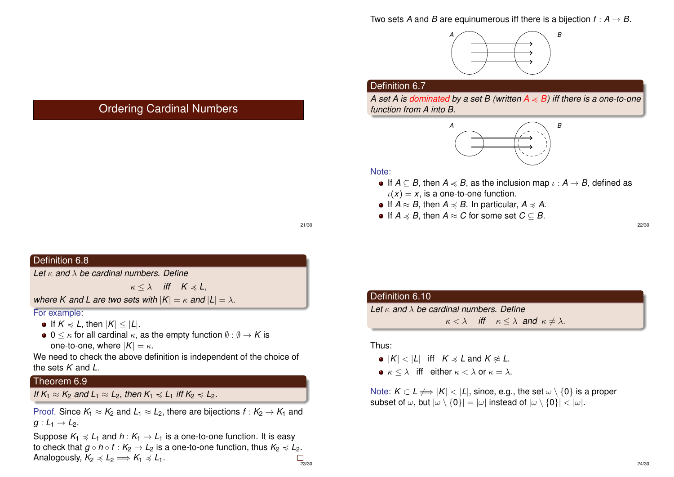

### Definition 6.7

*A set A is dominated by a set B (written*  $A \preccurlyeq B$ *) iff there is a one-to-one function from A into B.*



#### Note:

- If  $A \subseteq B$ , then  $A \preccurlyeq B$ , as the inclusion map  $\iota : A \rightarrow B$ , defined as  $\iota(x) = x$ , is a one-to-one function.
- $\bullet$  If *A* ≈ *B*, then *A*  $\leq$  *B*. In particular, *A*  $\leq$  *A*.
- $\bullet$  If *A*  $\leq$  *B*, then *A*  $\approx$  *C* for some set *C* ⊂ *B*.

21/30

### Definition 6.8

*Let* κ *and* λ *be cardinal numbers. Define*

 $\kappa < \lambda$  *iff*  $K \preccurlyeq L$ ,

Ordering Cardinal Numbers

*where K and L are two sets with*  $|K| = \kappa$  *and*  $|L| = \lambda$ *.* 

For example:

- $\bullet$  If  $K \preccurlyeq L$ , then  $|K| \leq |L|$ .
- $\bullet$  0  $\lt$   $\kappa$  for all cardinal  $\kappa$ , as the empty function  $\emptyset$  :  $\emptyset \to K$  is one-to-one, where  $|K| = \kappa$ .

We need to check the above definition is independent of the choice of the sets *K* and *L*.

### Theorem 6.9

*If*  $K_1 \approx K_2$  *and*  $L_1 \approx L_2$ *, then*  $K_1 \leq L_1$  *iff*  $K_2 \leq L_2$ *.* 

Proof. Since  $K_1 \approx K_2$  and  $L_1 \approx L_2$ , there are bijections  $f: K_2 \to K_1$  and  $g: L_1 \rightarrow L_2$ .

Suppose  $K_1 \preccurlyeq L_1$  and  $h: K_1 \to L_1$  is a one-to-one function. It is easy to check that  $g \circ h \circ f : K_2 \to L_2$  is a one-to-one function, thus  $K_2 \preccurlyeq L_2$ . Analogously,  $K_2 \preccurlyeq L_2 \Longrightarrow K_1 \preccurlyeq L_1$ .  $\Box$ <br>23/30

| Definition 6.10                                        |                                                                          |  |
|--------------------------------------------------------|--------------------------------------------------------------------------|--|
| Let $\kappa$ and $\lambda$ be cardinal numbers. Define |                                                                          |  |
|                                                        | $\kappa < \lambda$ iff $\kappa \leq \lambda$ and $\kappa \neq \lambda$ . |  |
|                                                        |                                                                          |  |

#### Thus:

- $\bullet$   $|K| < |L|$  iff  $K \le L$  and  $K \approx L$ .
- $\kappa < \lambda$  iff either  $\kappa < \lambda$  or  $\kappa = \lambda$ .

Note:  $K \subset L \nleftrightarrow |K| < |L|$ , since, e.g., the set  $\omega \setminus \{0\}$  is a proper subset of  $\omega$ , but  $|\omega \setminus \{0\}| = |\omega|$  instead of  $|\omega \setminus \{0\}| < |\omega|$ .

22/30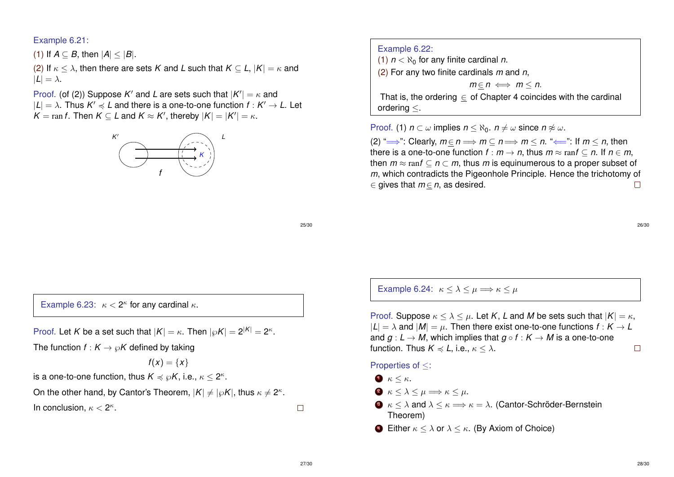### Example 6.21:

(1) If  $A \subset B$ , then  $|A| \leq |B|$ .

(2) If  $\kappa \leq \lambda$ , then there are sets *K* and *L* such that  $K \subseteq L$ ,  $|K| = \kappa$  and  $|L| = \lambda$ .

Proof. (of (2)) Suppose  $K'$  and L are sets such that  $|K'| = \kappa$  and  $|L| = \lambda$ . Thus  $K' \preccurlyeq L$  and there is a one-to-one function  $f : K' \to L$ . Let  $K = \text{ran } f$ . Then  $K \subseteq L$  and  $K \approx K'$ , thereby  $|K| = |K'| = \kappa$ .



Example 6.22: (1)  $n < \aleph_0$  for any finite cardinal *n*. (2) For any two finite cardinals *m* and *n*,

 $m \in n \iff m \leq n$ .

That is, the ordering  $\in$  of Chapter 4 coincides with the cardinal ordering ≤.

Proof. (1)  $n \subset \omega$  implies  $n \leq \aleph_0$ .  $n \neq \omega$  since  $n \not\approx \omega$ .

(2) " $\Longrightarrow$ ": Clearly,  $m \in n \Longrightarrow m \subset n \Longrightarrow m \leq n$ . " $\Longleftarrow$ ": If  $m \leq n$ , then there is a one-to-one function  $f : m \to n$ , thus  $m \approx \text{ran } f \subset n$ . If  $n \in m$ , then  $m \approx \text{ran } f \subset n \subset m$ , thus *m* is equinumerous to a proper subset of *m*, which contradicts the Pigeonhole Principle. Hence the trichotomy of  $\in$  gives that  $m \in n$ , as desired.  $\Box$ 

25/30

26/30

Example 6.23:  $\kappa < 2^{\kappa}$  for any cardinal  $\kappa$ .

Proof. Let *K* be a set such that  $|K| = \kappa$ . Then  $|\wp K| = 2^{|K|} = 2^{\kappa}$ .

The function  $f: K \to \mathcal{O}K$  defined by taking

$$
f(x)=\{x\}
$$

is a one-to-one function, thus  $K \preccurlyeq \wp K$ , i.e.,  $\kappa \leq 2^\kappa$ .

On the other hand, by Cantor's Theorem,  $|K| \neq |\wp K|$ , thus  $\kappa \neq 2^\kappa.$ 

In conclusion,  $\kappa < 2^{\kappa}$ .

Example 6.24:  $\kappa \leq \lambda \leq \mu \Longrightarrow \kappa \leq \mu$ 

Proof. Suppose  $\kappa < \lambda < \mu$ . Let *K*, *L* and *M* be sets such that  $|K| = \kappa$ ,  $|L| = \lambda$  and  $|M| = \mu$ . Then there exist one-to-one functions  $f : K \to L$ and  $q: L \to M$ , which implies that  $q \circ f: K \to M$  is a one-to-one function. Thus  $K \preccurlyeq L$ , i.e.,  $\kappa \leq \lambda$ .  $\Box$ 

#### Properties of ≤:

- $\bullet$   $\kappa \leq \kappa$ .
- $2 \kappa \leq \lambda \leq \mu \Longrightarrow \kappa \leq \mu.$
- **3**  $\kappa < \lambda$  and  $\lambda < \kappa \Longrightarrow \kappa = \lambda$ . (Cantor-Schröder-Bernstein Theorem)
- **4** Either  $\kappa < \lambda$  or  $\lambda < \kappa$ . (By Axiom of Choice)

 $\Box$